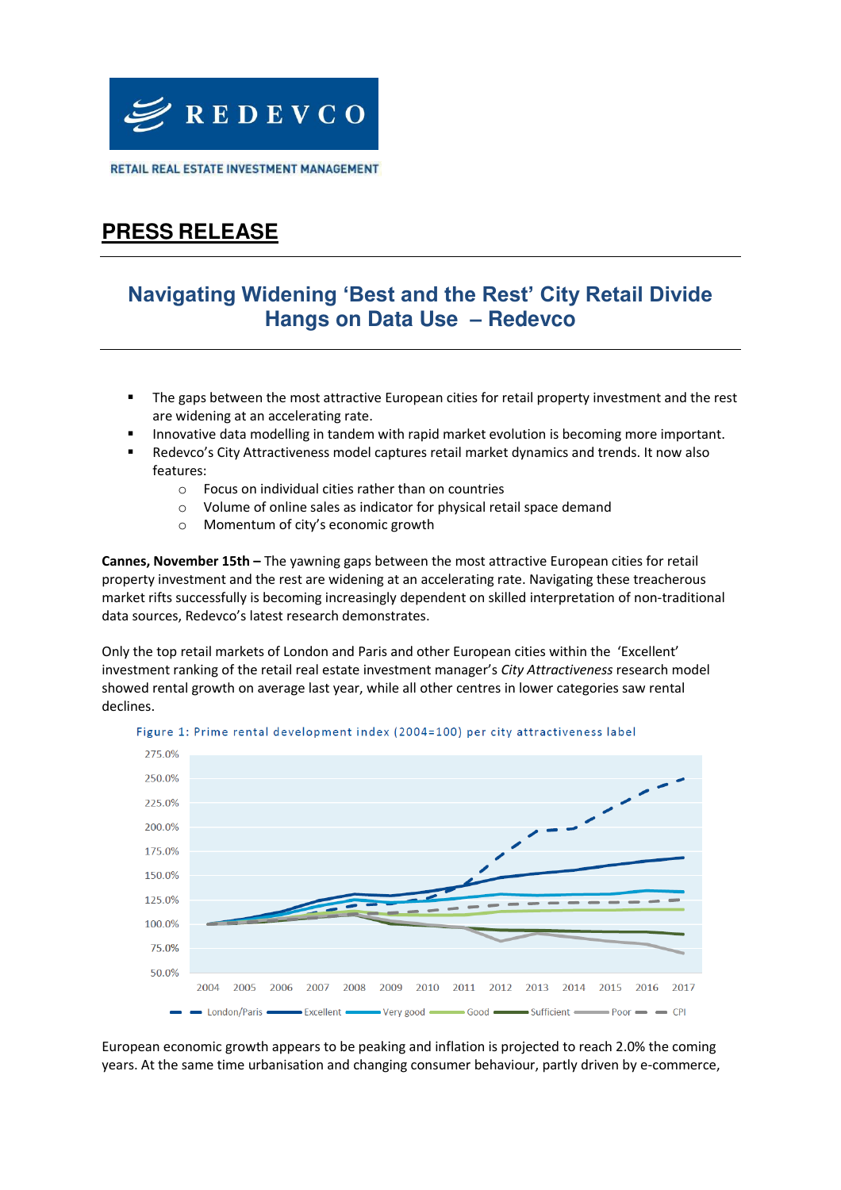

RETAIL REAL ESTATE INVESTMENT MANAGEMENT

## **PRESS RELEASE**

### **Navigating Widening 'Best and the Rest' City Retail Divide Hangs on Data Use – Redevco**

- The gaps between the most attractive European cities for retail property investment and the rest are widening at an accelerating rate.
- Innovative data modelling in tandem with rapid market evolution is becoming more important.
- Redevco's City Attractiveness model captures retail market dynamics and trends. It now also features:
	- o Focus on individual cities rather than on countries
	- o Volume of online sales as indicator for physical retail space demand
	- o Momentum of city's economic growth

**Cannes, November 15th –** The yawning gaps between the most attractive European cities for retail property investment and the rest are widening at an accelerating rate. Navigating these treacherous market rifts successfully is becoming increasingly dependent on skilled interpretation of non-traditional data sources, Redevco's latest research demonstrates.

Only the top retail markets of London and Paris and other European cities within the 'Excellent' investment ranking of the retail real estate investment manager's *City Attractiveness* research model showed rental growth on average last year, while all other centres in lower categories saw rental declines.



Figure 1: Prime rental development index (2004=100) per city attractiveness label

European economic growth appears to be peaking and inflation is projected to reach 2.0% the coming years. At the same time urbanisation and changing consumer behaviour, partly driven by e-commerce,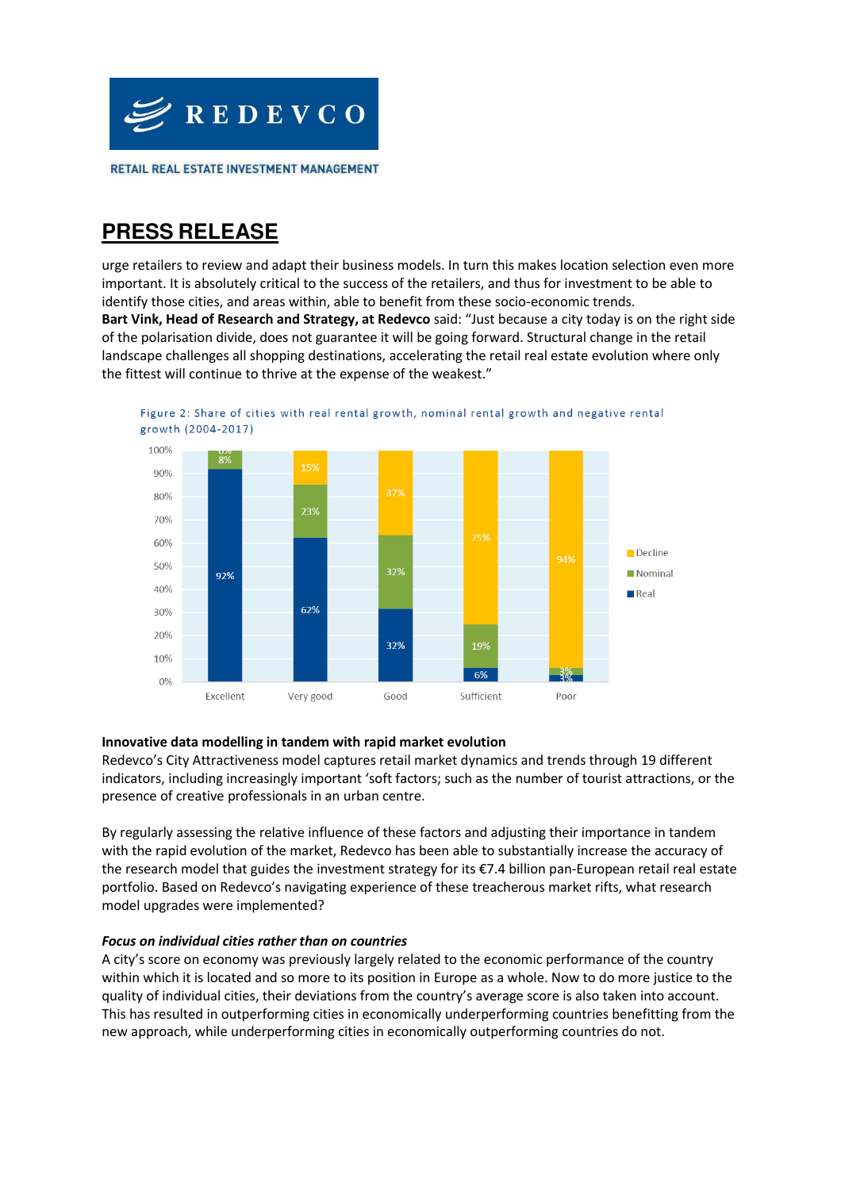

### **PRESS RELEASE**

urge retailers to review and adapt their business models. In turn this makes location selection even more important. It is absolutely critical to the success of the retailers, and thus for investment to be able to identify those cities, and areas within, able to benefit from these socio-economic trends. **Bart Vink, Head of Research and Strategy, at Redevco** said: "Just because a city today is on the right side of the polarisation divide, does not guarantee it will be going forward. Structural change in the retail landscape challenges all shopping destinations, accelerating the retail real estate evolution where only the fittest will continue to thrive at the expense of the weakest."



### **Innovative data modelling in tandem with rapid market evolution**

Redevco's City Attractiveness model captures retail market dynamics and trends through 19 different indicators, including increasingly important 'soft factors; such as the number of tourist attractions, or the presence of creative professionals in an urban centre.

By regularly assessing the relative influence of these factors and adjusting their importance in tandem with the rapid evolution of the market, Redevco has been able to substantially increase the accuracy of the research model that guides the investment strategy for its €7.4 billion pan-European retail real estate portfolio. Based on Redevco's navigating experience of these treacherous market rifts, what research model upgrades were implemented?

### *Focus on individual cities rather than on countries*

A city's score on economy was previously largely related to the economic performance of the country within which it is located and so more to its position in Europe as a whole. Now to do more justice to the quality of individual cities, their deviations from the country's average score is also taken into account. This has resulted in outperforming cities in economically underperforming countries benefitting from the new approach, while underperforming cities in economically outperforming countries do not.